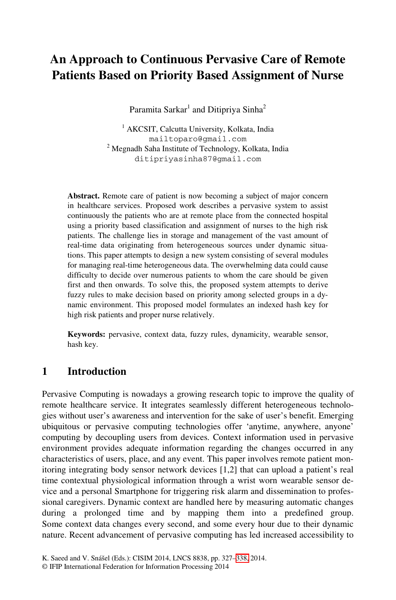# **An Approach to Continuous Pervasive Care of Remote Patients Based on Priority Based Assignment of Nurse**

Paramita Sarkar<sup>1</sup> and Ditipriya Sinha<sup>2</sup>

<sup>1</sup> AKCSIT, Calcutta University, Kolkata, India mailtoparo@gmail.com <sup>2</sup> Megnadh Saha Institute of Technology, Kolkata, India ditipriyasinha87@gmail.com

**Abstract.** Remote care of patient is now becoming a subject of major concern in healthcare services. Proposed work describes a pervasive system to assist continuously the patients who are at remote place from the connected hospital using a priority based classification and assignment of nurses to the high risk patients. The challenge lies in storage and management of the vast amount of real-time data originating from heterogeneous sources under dynamic situations. This paper attempts to design a new system consisting of several modules for managing real-time heterogeneous data. The overwhelming data could cause difficulty to decide over numerous patients to whom the care should be given first and then onwards. To solve this, the proposed system attempts to derive fuzzy rules to make decision based on priority among selected groups in a dynamic environment. This proposed model formulates an indexed hash key for high risk patients and proper nurse relatively.

**Keywords:** pervasive, context data, fuzzy rules, dynamicity, wearable sensor, hash key.

#### **1 Introduction**

Pervasive Computing is nowadays a growing research topic to improve the quality of remote healthcare service. It integrates seamlessly different heterogeneous technologies without user's awareness and intervention for the sake of user's benefit. Emerging ubiquitous or pervasive computing technologies offer 'anytime, anywhere, anyone' computing by decoupling users from devices. Context information used in pervasive environment provides adequate information regarding the changes occurred in any characteristics of users, place, and any event. This paper involves remote patient monitoring integrating body sensor n[etwo](#page-11-0)rk devices [1,2] that can upload a patient's real time contextual physiological information through a wrist worn wearable sensor device and a personal Smartphone for triggering risk alarm and dissemination to professional caregivers. Dynamic context are handled here by measuring automatic changes during a prolonged time and by mapping them into a predefined group. Some context data changes every second, and some every hour due to their dynamic nature. Recent advancement of pervasive computing has led increased accessibility to

© IFIP International Federation for Information Processing 2014

K. Saeed and V. Snášel (Eds.): CISIM 2014, LNCS 8838, pp. 327–338, 2014.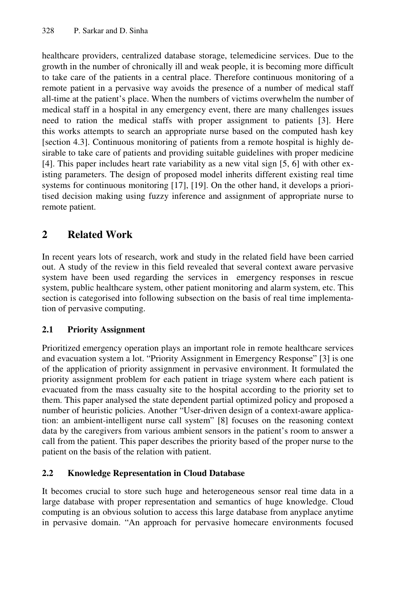healthcare providers, centralized database storage, telemedicine services. Due to the growth in the number of chronically ill and weak people, it is becoming more difficult to take care of the patients in a central place. Therefore continuous monitoring of a remote patient in a pervasive way avoids the presence of a number of medical staff all-time at the patient's place. When the numbers of victims overwhelm the number of medical staff in a hospital in any emergency event, there are many challenges issues need to ration the medical staffs with proper assignment to patients [3]. Here this works attempts to search an appropriate nurse based on the computed hash key [section 4.3]. Continuous monitoring of patients from a remote hospital is highly desirable to take care of patients and providing suitable guidelines with proper medicine [4]. This paper includes heart rate variability as a new vital sign [5, 6] with other existing parameters. The design of proposed model inherits different existing real time systems for continuous monitoring [17], [19]. On the other hand, it develops a prioritised decision making using fuzzy inference and assignment of appropriate nurse to remote patient.

## **2 Related Work**

In recent years lots of research, work and study in the related field have been carried out. A study of the review in this field revealed that several context aware pervasive system have been used regarding the services in emergency responses in rescue system, public healthcare system, other patient monitoring and alarm system, etc. This section is categorised into following subsection on the basis of real time implementation of pervasive computing.

## **2.1 Priority Assignment**

Prioritized emergency operation plays an important role in remote healthcare services and evacuation system a lot. "Priority Assignment in Emergency Response" [3] is one of the application of priority assignment in pervasive environment. It formulated the priority assignment problem for each patient in triage system where each patient is evacuated from the mass casualty site to the hospital according to the priority set to them. This paper analysed the state dependent partial optimized policy and proposed a number of heuristic policies. Another "User-driven design of a context-aware application: an ambient-intelligent nurse call system" [8] focuses on the reasoning context data by the caregivers from various ambient sensors in the patient's room to answer a call from the patient. This paper describes the priority based of the proper nurse to the patient on the basis of the relation with patient.

## **2.2 Knowledge Representation in Cloud Database**

It becomes crucial to store such huge and heterogeneous sensor real time data in a large database with proper representation and semantics of huge knowledge. Cloud computing is an obvious solution to access this large database from anyplace anytime in pervasive domain. "An approach for pervasive homecare environments focused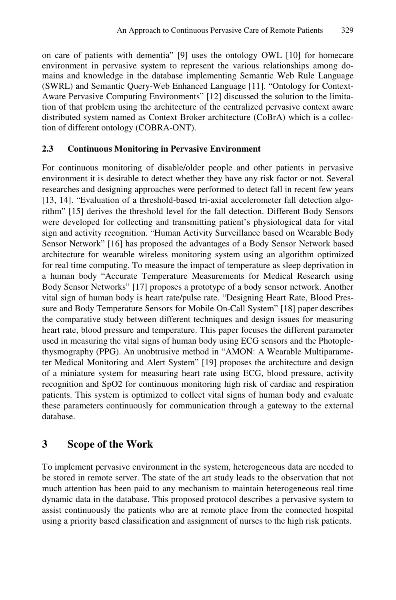on care of patients with dementia" [9] uses the ontology OWL [10] for homecare environment in pervasive system to represent the various relationships among domains and knowledge in the database implementing Semantic Web Rule Language (SWRL) and Semantic Query-Web Enhanced Language [11]. "Ontology for Context-Aware Pervasive Computing Environments" [12] discussed the solution to the limitation of that problem using the architecture of the centralized pervasive context aware distributed system named as Context Broker architecture (CoBrA) which is a collection of different ontology (COBRA-ONT).

#### **2.3 Continuous Monitoring in Pervasive Environment**

For continuous monitoring of disable/older people and other patients in pervasive environment it is desirable to detect whether they have any risk factor or not. Several researches and designing approaches were performed to detect fall in recent few years [13, 14]. "Evaluation of a threshold-based tri-axial accelerometer fall detection algorithm" [15] derives the threshold level for the fall detection. Different Body Sensors were developed for collecting and transmitting patient's physiological data for vital sign and activity recognition. "Human Activity Surveillance based on Wearable Body Sensor Network" [16] has proposed the advantages of a Body Sensor Network based architecture for wearable wireless monitoring system using an algorithm optimized for real time computing. To measure the impact of temperature as sleep deprivation in a human body "Accurate Temperature Measurements for Medical Research using Body Sensor Networks" [17] proposes a prototype of a body sensor network. Another vital sign of human body is heart rate/pulse rate. "Designing Heart Rate, Blood Pressure and Body Temperature Sensors for Mobile On-Call System" [18] paper describes the comparative study between different techniques and design issues for measuring heart rate, blood pressure and temperature. This paper focuses the different parameter used in measuring the vital signs of human body using ECG sensors and the Photoplethysmography (PPG). An unobtrusive method in "AMON: A Wearable Multiparameter Medical Monitoring and Alert System" [19] proposes the architecture and design of a miniature system for measuring heart rate using ECG, blood pressure, activity recognition and SpO2 for continuous monitoring high risk of cardiac and respiration patients. This system is optimized to collect vital signs of human body and evaluate these parameters continuously for communication through a gateway to the external database.

## **3 Scope of the Work**

To implement pervasive environment in the system, heterogeneous data are needed to be stored in remote server. The state of the art study leads to the observation that not much attention has been paid to any mechanism to maintain heterogeneous real time dynamic data in the database. This proposed protocol describes a pervasive system to assist continuously the patients who are at remote place from the connected hospital using a priority based classification and assignment of nurses to the high risk patients.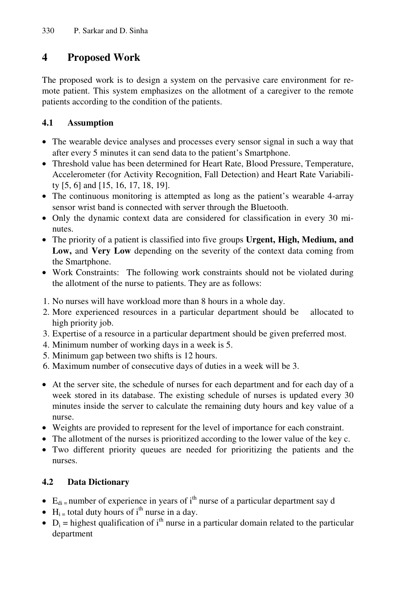## **4 Proposed Work**

The proposed work is to design a system on the pervasive care environment for remote patient. This system emphasizes on the allotment of a caregiver to the remote patients according to the condition of the patients.

## **4.1 Assumption**

- The wearable device analyses and processes every sensor signal in such a way that after every 5 minutes it can send data to the patient's Smartphone.
- Threshold value has been determined for Heart Rate, Blood Pressure, Temperature, Accelerometer (for Activity Recognition, Fall Detection) and Heart Rate Variability [5, 6] and [15, 16, 17, 18, 19].
- The continuous monitoring is attempted as long as the patient's wearable 4-array sensor wrist band is connected with server through the Bluetooth.
- Only the dynamic context data are considered for classification in every 30 minutes.
- The priority of a patient is classified into five groups **Urgent, High, Medium, and Low,** and **Very Low** depending on the severity of the context data coming from the Smartphone.
- Work Constraints: The following work constraints should not be violated during the allotment of the nurse to patients. They are as follows:
- 1. No nurses will have workload more than 8 hours in a whole day.
- 2. More experienced resources in a particular department should be allocated to high priority job.
- 3. Expertise of a resource in a particular department should be given preferred most.
- 4. Minimum number of working days in a week is 5.
- 5. Minimum gap between two shifts is 12 hours.
- 6. Maximum number of consecutive days of duties in a week will be 3.
- At the server site, the schedule of nurses for each department and for each day of a week stored in its database. The existing schedule of nurses is updated every 30 minutes inside the server to calculate the remaining duty hours and key value of a nurse.
- Weights are provided to represent for the level of importance for each constraint.
- The allotment of the nurses is prioritized according to the lower value of the key c.
- Two different priority queues are needed for prioritizing the patients and the nurses.

## **4.2 Data Dictionary**

- $E_{di}$  = number of experience in years of i<sup>th</sup> nurse of a particular department say d
- $H_i$  = total duty hours of i<sup>th</sup> nurse in a day.
- $D_i$  = highest qualification of i<sup>th</sup> nurse in a particular domain related to the particular department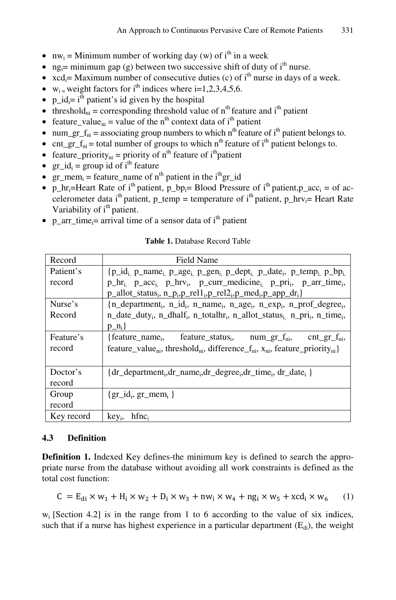- $nw_i =$  Minimum number of working day (w) of i<sup>th</sup> in a week
- ng<sub>i</sub>= minimum gap (g) between two successive shift of duty of i<sup>th</sup> nurse.
- $xcd_i = Maximum number of consecutive duties (c) of  $i<sup>th</sup>$  nurse in days of a week.$
- $W_i$  = weight factors for i<sup>th</sup> indices where i=1,2,3,4,5,6.
- p\_id<sub>i</sub>= i<sup>th</sup> patient's id given by the hospital
- threshold<sub>ni</sub> = corresponding threshold value of  $n<sup>th</sup>$  feature and i<sup>th</sup> patient
- feature\_value<sub>ni</sub> = value of the n<sup>th</sup> context data of i<sup>th</sup> patient
- num gr  $f_{ni}$  = associating group numbers to which n<sup>th</sup> feature of i<sup>th</sup> patient belongs to.
- cnt gr  $f_{ni}$  = total number of groups to which n<sup>th</sup> feature of i<sup>th</sup> patient belongs to.
- feature\_priority<sub>ni</sub> = priority of n<sup>th</sup> feature of i<sup>th</sup> patient
- gr  $id_i$  = group id of i<sup>th</sup> feature
- gr\_mem<sub>i</sub> = feature\_name of n<sup>th</sup> patient in the i<sup>th</sup>gr\_id
- p\_hr<sub>i</sub>=Heart Rate of i<sup>th</sup> patient, p\_bp<sub>i</sub>= Blood Pressure of i<sup>th</sup> patient,p\_acc<sub>i</sub> = of accelerometer data i<sup>th</sup> patient, p\_temp = temperature of i<sup>th</sup> patient, p\_hrv<sub>i</sub>= Heart Rate Variability of i<sup>th</sup> patient.
- p\_arr\_time = arrival time of a sensor data of i<sup>th</sup> patient

Record Field Name Patient's record  ${p_id_i, p_name_i, p_age_i, p_gen_i, p_-dept_i, p_date_i, p_temp_i, p_bp_i}$  $p_hr_i$ ,  $p_acc_i$ ,  $p_hrv_i$ ,  $p_curr_m$  edicine<sub>i</sub>,  $p_pnr_i$ ,  $p_aarr_time_i$ ,  $p\_allot\_status_i, n\_p_i, p\_rel1_i, p\_rel2_i, p\_med_i, p\_app\_dr_i\}$ Nurse's Record  ${n_q}$ department<sub>i</sub>, n\_id<sub>i</sub>, n\_name<sub>i</sub>, n\_age<sub>i</sub>, n\_exp<sub>i</sub>, n\_prof\_degree<sub>i</sub>,  $n\_date\_duty_i$ ,  $n\_dhalf_i$ ,  $n\_totalhr_i$ ,  $n\_allot\_status_i$ ,  $n\_pri_i$ ,  $n\_time_i$ ,  $p_n$ Feature's record {feature\_name<sub>i</sub>, feature\_status<sub>i</sub>, num\_gr\_f<sub>ni</sub>, cnt\_gr\_f<sub>ni</sub>, feature\_value<sub>ni</sub>, threshold<sub>ni</sub>, difference\_ $f_{ni}$ ,  $x_{ni}$ , feature\_priority<sub>ni</sub>} Doctor's record {dr\_departmenti,dr\_namei,dr\_degreei,dr\_timei, dr\_datei } Group record  $\{gr\_id_i, gr\_mem_i\}$ Key record  $key_i$ , hfnc<sub>i</sub>

**Table 1.** Database Record Table

#### **4.3 Definition**

**Definition 1.** Indexed Key defines-the minimum key is defined to search the appropriate nurse from the database without avoiding all work constraints is defined as the total cost function:

$$
C = E_{di} \times w_1 + H_i \times w_2 + D_i \times w_3 + nw_i \times w_4 + ng_i \times w_5 + xcd_i \times w_6 \tag{1}
$$

 $w_i$  [Section 4.2] is in the range from 1 to 6 according to the value of six indices, such that if a nurse has highest experience in a particular department  $(E_{di})$ , the weight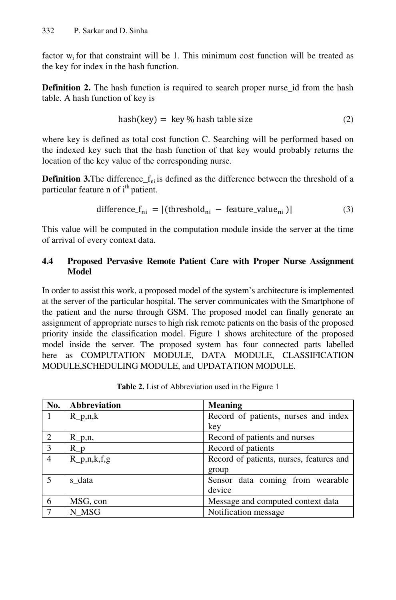factor  $w_i$  for that constraint will be 1. This minimum cost function will be treated as the key for index in the hash function.

**Definition 2.** The hash function is required to search proper nurse id from the hash table. A hash function of key is

$$
hash(key) = key % hash table size \t(2)
$$

where key is defined as total cost function C. Searching will be performed based on the indexed key such that the hash function of that key would probably returns the location of the key value of the corresponding nurse.

**Definition 3.**The difference  $f_{ni}$  is defined as the difference between the threshold of a particular feature n of i<sup>th</sup> patient.

$$
difference_r_{ni} = |(threshold_{ni} - feature_value_{ni})|
$$
 (3)

This value will be computed in the computation module inside the server at the time of arrival of every context data.

### **4.4 Proposed Pervasive Remote Patient Care with Proper Nurse Assignment Model**

In order to assist this work, a proposed model of the system's architecture is implemented at the server of the particular hospital. The server communicates with the Smartphone of the patient and the nurse through GSM. The proposed model can finally generate an assignment of appropriate nurses to high risk remote patients on the basis of the proposed priority inside the classification model. Figure 1 shows architecture of the proposed model inside the server. The proposed system has four connected parts labelled here as COMPUTATION MODULE, DATA MODULE, CLASSIFICATION MODULE,SCHEDULING MODULE, and UPDATATION MODULE.

| No.                         | Abbreviation      | <b>Meaning</b>                           |
|-----------------------------|-------------------|------------------------------------------|
|                             | $R_p, n, k$       | Record of patients, nurses and index     |
|                             |                   | key                                      |
| $\mathcal{D}_{\mathcal{L}}$ | $R_p, n,$         | Record of patients and nurses            |
| 3                           | $R_p$             | Record of patients                       |
| $\overline{4}$              | $R_p, n, k, f, g$ | Record of patients, nurses, features and |
|                             |                   | group                                    |
|                             | s data            | Sensor data coming from wearable         |
|                             |                   | device                                   |
| 6                           | MSG, con          | Message and computed context data        |
|                             | N MSG             | Notification message                     |

**Table 2.** List of Abbreviation used in the Figure 1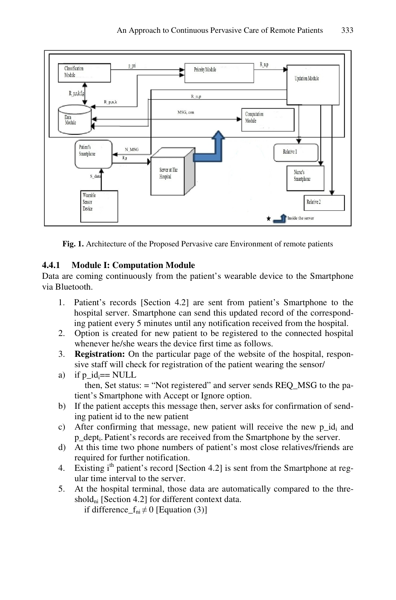

**Fig. 1.** Architecture of the Proposed Pervasive care Environment of remote patients

### **4.4.1 Module I: Computation Module**

Data are coming continuously from the patient's wearable device to the Smartphone via Bluetooth.

- 1. Patient's records [Section 4.2] are sent from patient's Smartphone to the hospital server. Smartphone can send this updated record of the corresponding patient every 5 minutes until any notification received from the hospital.
- 2. Option is created for new patient to be registered to the connected hospital whenever he/she wears the device first time as follows.
- 3. **Registration:** On the particular page of the website of the hospital, responsive staff will check for registration of the patient wearing the sensor/
- a) if  $p$  id $==$  NULL then, Set status: = "Not registered" and server sends REQ\_MSG to the patient's Smartphone with Accept or Ignore option.
- b) If the patient accepts this message then, server asks for confirmation of sending patient id to the new patient
- c) After confirming that message, new patient will receive the new  $p_id_i$  and p\_depti. Patient's records are received from the Smartphone by the server.
- d) At this time two phone numbers of patient's most close relatives/friends are required for further notification.
- 4. Existing i<sup>th</sup> patient's record [Section 4.2] is sent from the Smartphone at regular time interval to the server.
- 5. At the hospital terminal, those data are automatically compared to the threshold<sub>ni</sub> [Section 4.2] for different context data. if difference  $f_{ni} \neq 0$  [Equation (3)]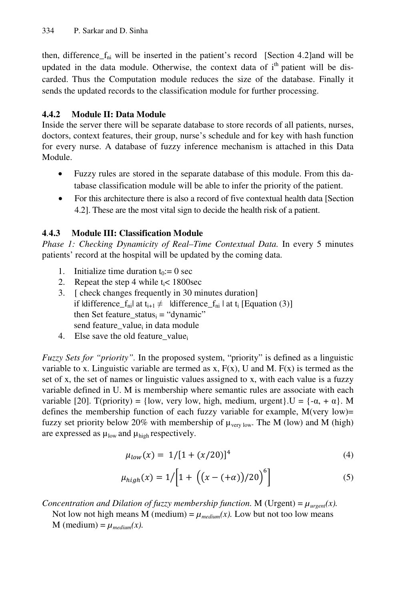then, difference $f_{ni}$  will be inserted in the patient's record [Section 4.2]and will be updated in the data module. Otherwise, the context data of  $i<sup>th</sup>$  patient will be discarded. Thus the Computation module reduces the size of the database. Finally it sends the updated records to the classification module for further processing.

### **4.4.2 Module II: Data Module**

Inside the server there will be separate database to store records of all patients, nurses, doctors, context features, their group, nurse's schedule and for key with hash function for every nurse. A database of fuzzy inference mechanism is attached in this Data Module.

- Fuzzy rules are stored in the separate database of this module. From this database classification module will be able to infer the priority of the patient.
- For this architecture there is also a record of five contextual health data [Section 4.2]. These are the most vital sign to decide the health risk of a patient.

### **4***.***4.3 Module III: Classification Module**

*Phase 1: Checking Dynamicity of Real–Time Contextual Data. In every 5 minutes* patients' record at the hospital will be updated by the coming data.

- 1. Initialize time duration  $t_0$ := 0 sec
- 2. Repeat the step 4 while  $t_i < 1800$  sec
- 3. [ check changes frequently in 30 minutes duration] if  $|difference_f_{ni}|$  at  $t_{i+1} \neq |difference_f_{ni}|$  at  $t_i$  [Equation (3)] then Set feature  $status_i = "dynamic"$ send feature value<sub>i</sub> in data module
- 4. Else save the old feature\_valuei

*Fuzzy Sets for "priority".* In the proposed system, "priority" is defined as a linguistic variable to x. Linguistic variable are termed as x,  $F(x)$ , U and M.  $F(x)$  is termed as the set of x, the set of names or linguistic values assigned to x, with each value is a fuzzy variable defined in U. M is membership where semantic rules are associate with each variable [20]. T(priority) = {low, very low, high, medium, urgent}. U = { $-\alpha$ ,  $+\alpha$ }. M defines the membership function of each fuzzy variable for example, M(very low)= fuzzy set priority below 20% with membership of  $\mu_{\text{very low}}$ . The M (low) and M (high) are expressed as  $\mu_{\text{low}}$  and  $\mu_{\text{high}}$  respectively.

$$
\mu_{low}(x) = 1/[1 + (x/20)]^4 \tag{4}
$$

$$
\mu_{high}(x) = 1/\bigg[1 + \big((x - (+\alpha))/20\big)^6\bigg] \tag{5}
$$

*Concentration and Dilation of fuzzy membership function.* M (Urgent) =  $\mu_{\text{upcent}}(x)$ .

Not low not high means M (medium) =  $\mu_{medium}(x)$ . Low but not too low means  $M$  (medium) =  $\mu_{medium}(x)$ .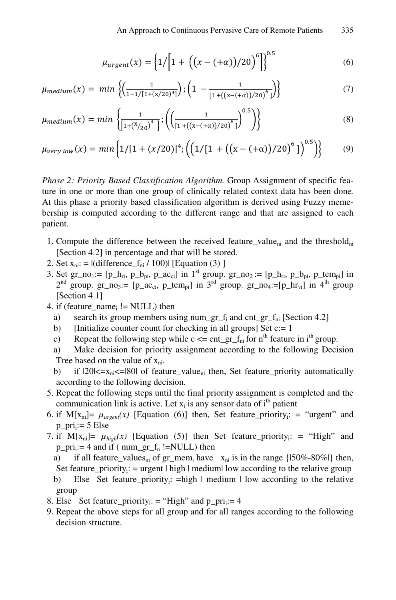.ହ

$$
\mu_{\text{target}}(x) = \left\{ 1 / \left[ 1 + \left( \left( x - (+\alpha) \right) / 20 \right)^6 \right] \right\}^{0.5} \tag{6}
$$

$$
\mu_{medium}(x) = min \left\{ \left( \frac{1}{1 - 1/[1 + (x/20)^4]} \right); \left( 1 - \frac{1}{[1 + ((x - (+\alpha))/20)^6]} \right) \right\} \tag{7}
$$

$$
\mu_{medium}(x) = min \left\{ \frac{1}{\left[1 + {^{(x)}20)}^4\right]} : \left( \left(\frac{1}{\left[1 + \left((x - (+\alpha))/20\right)^6\right]}\right)^{0.5} \right) \right\}
$$
(8)

$$
\mu_{very\,low}(x) = min\Big\{1/[1 + (x/20)]^4; \Big(\Big(1/[1 + ((x - (+\alpha))/20\Big)^6]\Big)^{0.5}\Big)\Big\} \tag{9}
$$

*Phase 2: Priority Based Classification Algorithm.* Group Assignment of specific feature in one or more than one group of clinically related context data has been done*.* At this phase a priority based classification algorithm is derived using Fuzzy memebership is computed according to the different range and that are assigned to each patient.

- 1. Compute the difference between the received feature\_value<sub>ni</sub> and the threshold<sub>ni</sub> [Section 4.2] in percentage and that will be stored.
- 2. Set  $x_{ni}$ : = |(difference\_f<sub>ni</sub> / 100)| [Equation (3) ]
- 3. Set gr\_no<sub>1</sub>:=  $[p_h]_n$ ,  $p_h]_p$ <sub>1</sub>,  $p_h$ <sub>2</sub>c<sub>i</sub>] in 1<sup>st</sup> group. gr\_no<sub>2</sub> :=  $[p_h]_n$ ,  $p_h]_p$ <sub>1</sub>,  $p_h$ <sub>1</sub>,  $p_h]$  in  $2<sup>nd</sup>$  group. gr\_no<sub>3</sub>:=  $[p_ax<sub>c</sub>], p_tem<sub>pi</sub>]$  in  $3<sup>rd</sup>$  group. gr\_no<sub>4</sub>:= $[p_1hr<sub>pi</sub>]$  in  $4<sup>th</sup>$  group [Section 4.1]
- 4. if (feature\_name<sub>i</sub> != NULL) then
	- a) search its group members using num\_gr\_f<sub>i</sub> and cnt\_gr\_f<sub>ni</sub> [Section 4.2]
	- b) [Initialize counter count for checking in all groups] Set  $c:=1$
	- c) Repeat the following step while  $c \leq \text{cnt\_gr\_f}_{ni}$  for  $n^{\text{th}}$  feature in i<sup>th</sup> group.
	- a) Make decision for priority assignment according to the following Decision Tree based on the value of  $x_{ni}$ .
	- b) if  $|20| \leq x_{ni} \leq |80|$  of feature\_value<sub>ni</sub> then, Set feature\_priority automatically according to the following decision.
- 5. Repeat the following steps until the final priority assignment is completed and the communication link is active. Let  $x_i$  is any sensor data of i<sup>th</sup> patient
- 6. if M[x<sub>ni</sub>]=  $\mu_{\text{wgen}}(x)$  [Equation (6)] then, Set feature\_priority<sub>i</sub>: = "urgent" and  $p_{pri} := 5$  Else
- 7. if M[ $x_{ni}$ ] =  $\mu_{high}(x)$  [Equation (5)] then Set feature\_priority<sub>i</sub>: = "High" and  $p\_pri_i:= 4$  and if (  $num\_gr\_f_n$  !=NULL) then
	- a) if all feature\_values<sub>ni</sub> of gr\_mem<sub>i</sub> have  $x_{ni}$  is in the range { $[50\% 80\%]$ } then, Set feature\_priority<sub>i</sub>: = urgent | high | medium| low according to the relative group
	- b) Else Set feature\_priority<sub>i</sub>:  $=$ high | medium | low according to the relative group
- 8. Else Set feature\_priority<sub>i</sub>: = "High" and p\_pri<sub>i</sub>: = 4
- 9. Repeat the above steps for all group and for all ranges according to the following decision structure.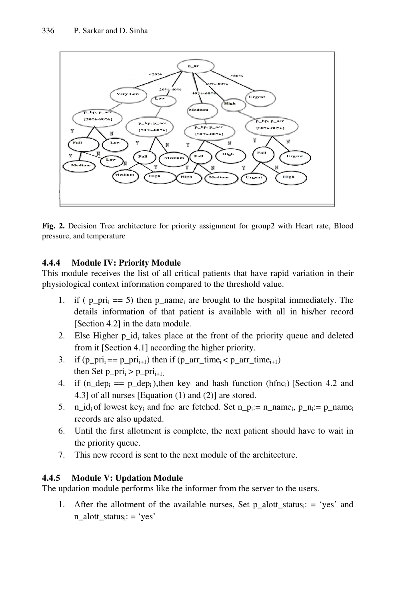

**Fig. 2.** Decision Tree architecture for priority assignment for group2 with Heart rate, Blood pressure, and temperature

### **4.4.4 Module IV: Priority Module**

This module receives the list of all critical patients that have rapid variation in their physiological context information compared to the threshold value.

- 1. if (  $p_pri_i == 5$ ) then  $p_name_i$  are brought to the hospital immediately. The details information of that patient is available with all in his/her record [Section 4.2] in the data module.
- 2. Else Higher  $p$  id<sub>i</sub> takes place at the front of the priority queue and deleted from it [Section 4.1] according the higher priority.
- 3. if  $(p\_pri_i == p\_pri_{i+1})$  then if  $(p\_arr\_time_i < p\_arr\_time_{i+1})$ then Set  $p_pri_i > p_pri_{i+1}$ .
- 4. if  $(n\_dep_i == p\_dep_i)$ , then key<sub>i</sub> and hash function (hfnc<sub>i</sub>) [Section 4.2 and 4.3] of all nurses [Equation (1) and (2)] are stored.
- 5. n\_id<sub>i</sub> of lowest key<sub>i</sub> and fnc<sub>i</sub> are fetched. Set n\_p<sub>i</sub>:= n\_name<sub>i</sub>, p\_n<sub>i</sub>:= p\_name<sub>i</sub> records are also updated.
- 6. Until the first allotment is complete, the next patient should have to wait in the priority queue.
- 7. This new record is sent to the next module of the architecture.

## **4.4.5 Module V: Updation Module**

The updation module performs like the informer from the server to the users.

1. After the allotment of the available nurses, Set  $p\_alott\_status_i: = 'yes'$  and  $n\_alott\_status_i := 'yes'$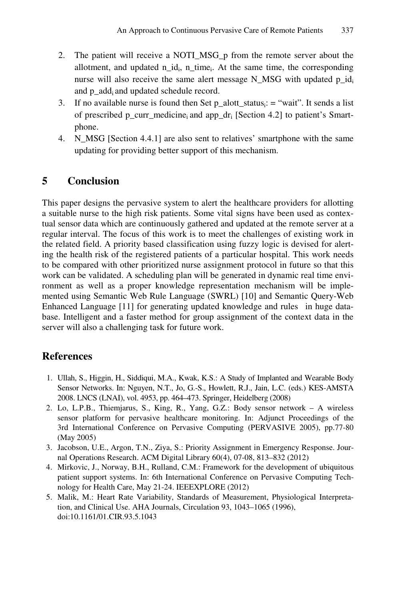- 2. The patient will receive a NOTI\_MSG\_p from the remote server about the allotment, and updated n id<sub>i</sub>, n time<sub>i</sub>. At the same time, the corresponding nurse will also receive the same alert message N\_MSG with updated p\_id<sub>i</sub> and p\_add<sub>i</sub> and updated schedule record.
- 3. If no available nurse is found then Set p\_alott\_status $\mathbf{u}$ : = "wait". It sends a list of prescribed p\_curr\_medicine<sub>i</sub> and app\_dr<sub>i</sub> [Section 4.2] to patient's Smartphone.
- 4. N\_MSG [Section 4.4.1] are also sent to relatives' smartphone with the same updating for providing better support of this mechanism.

## **5 Conclusion**

This paper designs the pervasive system to alert the healthcare providers for allotting a suitable nurse to the high risk patients. Some vital signs have been used as contextual sensor data which are continuously gathered and updated at the remote server at a regular interval. The focus of this work is to meet the challenges of existing work in the related field. A priority based classification using fuzzy logic is devised for alerting the health risk of the registered patients of a particular hospital. This work needs to be compared with other prioritized nurse assignment protocol in future so that this work can be validated. A scheduling plan will be generated in dynamic real time environment as well as a proper knowledge representation mechanism will be implemented using Semantic Web Rule Language (SWRL) [10] and Semantic Query-Web Enhanced Language [11] for generating updated knowledge and rules in huge database. Intelligent and a faster method for group assignment of the context data in the server will also a challenging task for future work.

## **References**

- 1. Ullah, S., Higgin, H., Siddiqui, M.A., Kwak, K.S.: A Study of Implanted and Wearable Body Sensor Networks. In: Nguyen, N.T., Jo, G.-S., Howlett, R.J., Jain, L.C. (eds.) KES-AMSTA 2008. LNCS (LNAI), vol. 4953, pp. 464–473. Springer, Heidelberg (2008)
- 2. Lo, L.P.B., Thiemjarus, S., King, R., Yang, G.Z.: Body sensor network A wireless sensor platform for pervasive healthcare monitoring. In: Adjunct Proceedings of the 3rd International Conference on Pervasive Computing (PERVASIVE 2005), pp.77-80 (May 2005)
- 3. Jacobson, U.E., Argon, T.N., Ziya, S.: Priority Assignment in Emergency Response. Journal Operations Research. ACM Digital Library 60(4), 07-08, 813–832 (2012)
- 4. Mirkovic, J., Norway, B.H., Rulland, C.M.: Framework for the development of ubiquitous patient support systems. In: 6th International Conference on Pervasive Computing Technology for Health Care, May 21-24. IEEEXPLORE (2012)
- 5. Malik, M.: Heart Rate Variability, Standards of Measurement, Physiological Interpretation, and Clinical Use. AHA Journals, Circulation 93, 1043–1065 (1996), doi:10.1161/01.CIR.93.5.1043